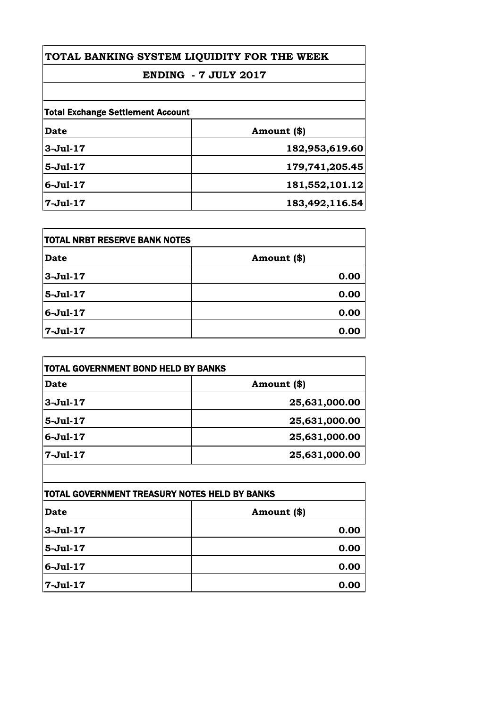# **TOTAL BANKING SYSTEM LIQUIDITY FOR THE WEEK**

#### **ENDING - 7 JULY 2017**

| <b>Total Exchange Settlement Account</b> |                |
|------------------------------------------|----------------|
| <b>Date</b>                              | Amount (\$)    |
| $3 -$ Jul-17                             | 182,953,619.60 |
| $5-Jul-17$                               | 179,741,205.45 |
| $6 -$ Jul $-17$                          | 181,552,101.12 |
| $7 -$ Jul $-17$                          | 183,492,116.54 |

| <b>TOTAL NRBT RESERVE BANK NOTES</b> |             |
|--------------------------------------|-------------|
| Date                                 | Amount (\$) |
| $3-Jul-17$                           | 0.00        |
| $5 - Jul - 17$                       | 0.00        |
| $6-Jul-17$                           | 0.00        |
| 7-Jul-17                             | 0.00        |

| TOTAL GOVERNMENT BOND HELD BY BANKS |               |
|-------------------------------------|---------------|
| <b>Date</b>                         | Amount (\$)   |
| $3-Jul-17$                          | 25,631,000.00 |
| $5-Jul-17$                          | 25,631,000.00 |
| $6 -$ Jul $-17$                     | 25,631,000.00 |
| $7-Jul-17$                          | 25,631,000.00 |

| TOTAL GOVERNMENT TREASURY NOTES HELD BY BANKS |             |
|-----------------------------------------------|-------------|
| <b>Date</b>                                   | Amount (\$) |
| $3-Jul-17$                                    | 0.00        |
| $5 -$ Jul $-17$                               | 0.00        |
| $6 -$ Jul $-17$                               | 0.00        |
| 7-Jul-17                                      | 0.00        |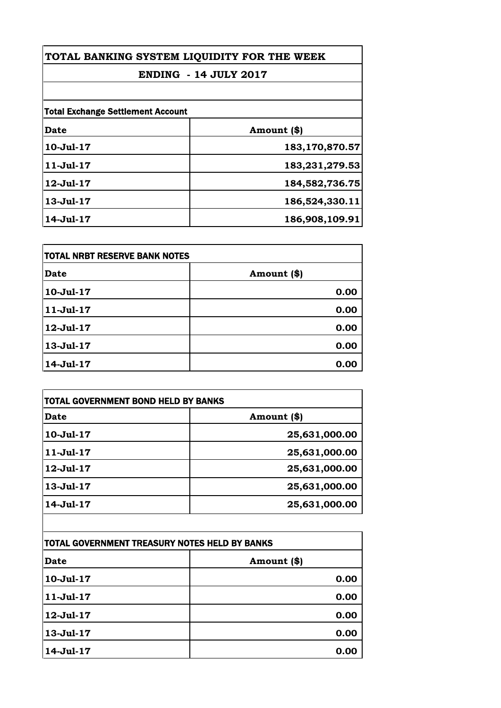## **TOTAL BANKING SYSTEM LIQUIDITY FOR THE WEEK**

## **ENDING - 14 JULY 2017**

| <b>Total Exchange Settlement Account</b> |                |
|------------------------------------------|----------------|
| Date                                     | Amount (\$)    |
| $10 -$ Jul $-17$                         | 183,170,870.57 |
| $11 -$ Jul $-17$                         | 183,231,279.53 |
| 12-Jul-17                                | 184,582,736.75 |
| 13-Jul-17                                | 186,524,330.11 |
| 14-Jul-17                                | 186,908,109.91 |

| <b>TOTAL NRBT RESERVE BANK NOTES</b> |             |
|--------------------------------------|-------------|
| Date                                 | Amount (\$) |
| 10-Jul-17                            | 0.00        |
| $11-Jul-17$                          | 0.00        |
| 12-Jul-17                            | 0.00        |
| 13-Jul-17                            | 0.00        |
| 14-Jul-17                            | 0.00        |

| Date            | Amount (\$)   |
|-----------------|---------------|
| 10-Jul-17       | 25,631,000.00 |
| $11-Jul-17$     | 25,631,000.00 |
| 12-Jul-17       | 25,631,000.00 |
| $13 - Jul - 17$ | 25,631,000.00 |
| 14-Jul-17       | 25,631,000.00 |

| TOTAL GOVERNMENT TREASURY NOTES HELD BY BANKS |             |
|-----------------------------------------------|-------------|
| <b>Date</b>                                   | Amount (\$) |
| 10-Jul-17                                     | 0.00        |
| $11 -$ Jul $-17$                              | 0.00        |
| 12-Jul-17                                     | 0.00        |
| 13-Jul-17                                     | 0.00        |
| 14-Jul-17                                     | 0.00        |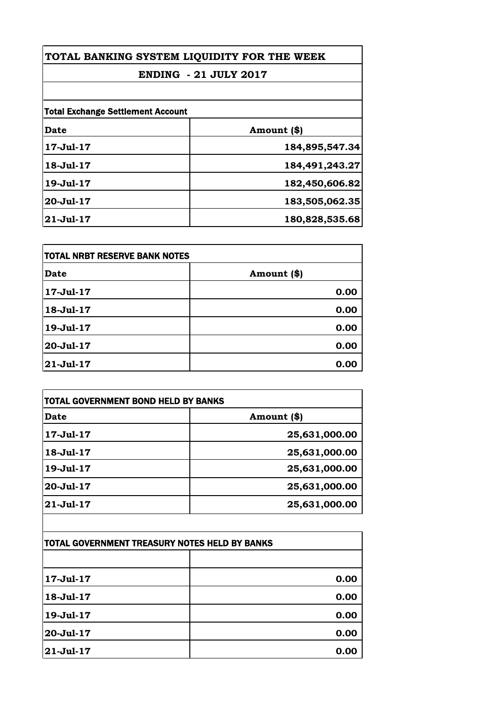#### **TOTAL BANKING SYSTEM LIQUIDITY FOR THE WEEK**

## **ENDING - 21 JULY 2017**

| <b>Total Exchange Settlement Account</b> |                |
|------------------------------------------|----------------|
| Date                                     | Amount (\$)    |
| 17-Jul-17                                | 184,895,547.34 |
| 18-Jul-17                                | 184,491,243.27 |
| 19-Jul-17                                | 182,450,606.82 |
| 20-Jul-17                                | 183,505,062.35 |
| $21 - Jul - 17$                          | 180,828,535.68 |

| <b>TOTAL NRBT RESERVE BANK NOTES</b> |             |
|--------------------------------------|-------------|
| <b>Date</b>                          | Amount (\$) |
| 17-Jul-17                            | 0.00        |
| 18-Jul-17                            | 0.00        |
| 19-Jul-17                            | 0.00        |
| 20-Jul-17                            | 0.00        |
| 21-Jul-17                            | 0.00        |

| Date      | Amount (\$)   |
|-----------|---------------|
| 17-Jul-17 | 25,631,000.00 |
| 18-Jul-17 | 25,631,000.00 |
| 19-Jul-17 | 25,631,000.00 |
| 20-Jul-17 | 25,631,000.00 |
| 21-Jul-17 | 25,631,000.00 |

| TOTAL GOVERNMENT TREASURY NOTES HELD BY BANKS |      |
|-----------------------------------------------|------|
|                                               |      |
| 17-Jul-17                                     | 0.00 |
| 18-Jul-17                                     | 0.00 |
| 19-Jul-17                                     | 0.00 |
| 20-Jul-17                                     | 0.00 |
| 21-Jul-17                                     | 0.00 |